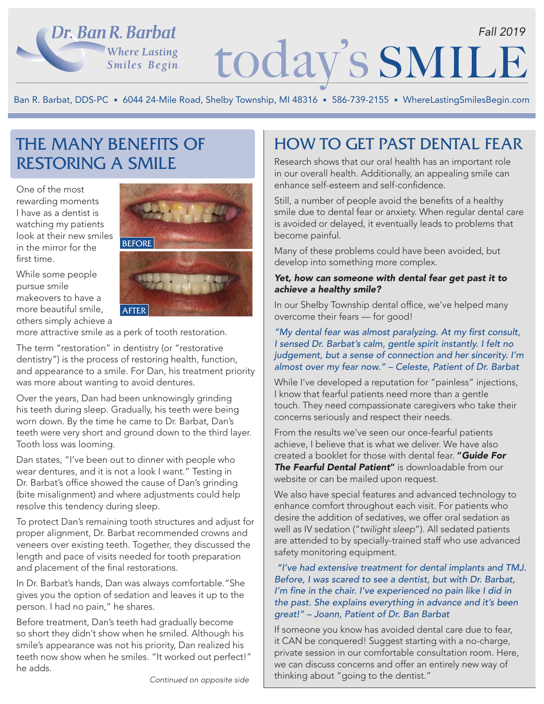## Dr. Ban R. Barbat **Where Lasting** Smiles Begin

# today's SMILE *Fall 2019*

Ban R. Barbat, DDS-PC • 6044 24-Mile Road, Shelby Township, MI 48316 • 586-739-2155 • WhereLastingSmilesBegin.com

# THE MANY BENEFITS OF RESTORING A SMILE

One of the most rewarding moments I have as a dentist is watching my patients look at their new smiles in the mirror for the first time.

While some people pursue smile makeovers to have a more beautiful smile, others simply achieve a



more attractive smile as a perk of tooth restoration.

The term "restoration" in dentistry (or "restorative dentistry") is the process of restoring health, function, and appearance to a smile. For Dan, his treatment priority was more about wanting to avoid dentures.

Over the years, Dan had been unknowingly grinding his teeth during sleep. Gradually, his teeth were being worn down. By the time he came to Dr. Barbat, Dan's teeth were very short and ground down to the third layer. Tooth loss was looming.

Dan states, "I've been out to dinner with people who wear dentures, and it is not a look I want." Testing in Dr. Barbat's office showed the cause of Dan's grinding (bite misalignment) and where adjustments could help resolve this tendency during sleep.

To protect Dan's remaining tooth structures and adjust for proper alignment, Dr. Barbat recommended crowns and veneers over existing teeth. Together, they discussed the length and pace of visits needed for tooth preparation and placement of the final restorations.

In Dr. Barbat's hands, Dan was always comfortable."She gives you the option of sedation and leaves it up to the person. I had no pain," he shares.

Before treatment, Dan's teeth had gradually become so short they didn't show when he smiled. Although his smile's appearance was not his priority, Dan realized his teeth now show when he smiles. "It worked out perfect!" he adds.

## HOW TO GET PAST DENTAL FEAR

Research shows that our oral health has an important role in our overall health. Additionally, an appealing smile can enhance self-esteem and self-confidence.

Still, a number of people avoid the benefits of a healthy smile due to dental fear or anxiety. When regular dental care is avoided or delayed, it eventually leads to problems that become painful.

Many of these problems could have been avoided, but develop into something more complex.

#### *Yet, how can someone with dental fear get past it to achieve a healthy smile?*

In our Shelby Township dental office, we've helped many overcome their fears — for good!

#### "My dental fear was almost paralyzing. At my first consult, I sensed Dr. Barbat's calm, gentle spirit instantly. I felt no judgement, but a sense of connection and her sincerity. I'm almost over my fear now." – Celeste, Patient of Dr. Barbat

While I've developed a reputation for "painless" injections, I know that fearful patients need more than a gentle touch. They need compassionate caregivers who take their concerns seriously and respect their needs.

From the results we've seen our once-fearful patients achieve, I believe that is what we deliver. We have also created a booklet for those with dental fear. "*Guide For The Fearful Dental Patient*" is downloadable from our website or can be mailed upon request.

We also have special features and advanced technology to enhance comfort throughout each visit. For patients who desire the addition of sedatives, we offer oral sedation as well as IV sedation ("*twilight sleep*"). All sedated patients are attended to by specially-trained staff who use advanced safety monitoring equipment.

#### "I've had extensive treatment for dental implants and TMJ. Before, I was scared to see a dentist, but with Dr. Barbat, I'm fine in the chair. I've experienced no pain like I did in the past. She explains everything in advance and it's been great!" – Joann, Patient of Dr. Ban Barbat

If someone you know has avoided dental care due to fear, it CAN be conquered! Suggest starting with a no-charge, private session in our comfortable consultation room. Here, we can discuss concerns and offer an entirely new way of thinking about "going to the dentist." *Continued on opposite side*